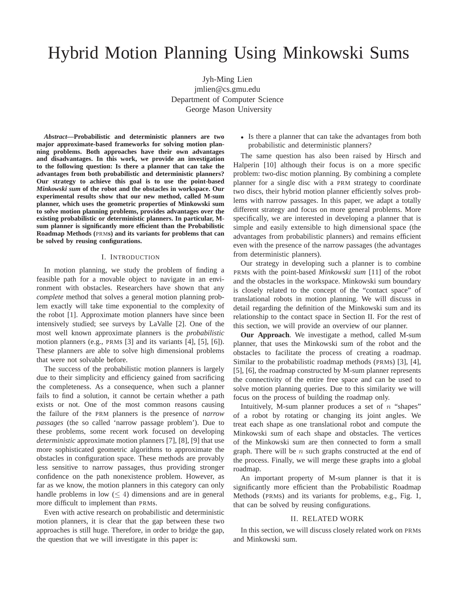# Hybrid Motion Planning Using Minkowski Sums

Jyh-Ming Lien jmlien@cs.gmu.edu Department of Computer Science George Mason University

*Abstract***—Probabilistic and deterministic planners are two major approximate-based frameworks for solving motion planning problems. Both approaches have their own advantages and disadvantages. In this work, we provide an investigation to the following question: Is there a planner that can take the advantages from both probabilistic and deterministic planners? Our strategy to achieve this goal is to use the point-based** *Minkowski sum* **of the robot and the obstacles in workspace. Our experimental results show that our new method, called M-sum planner, which uses the geometric properties of Minkowski sum to solve motion planning problems, provides advantages over the existing probabilistic or deterministic planners. In particular, Msum planner is significantly more efficient than the Probabilistic Roadmap Methods (**PRM**s) and its variants for problems that can be solved by reusing configurations.**

#### I. INTRODUCTION

In motion planning, we study the problem of finding a feasible path for a movable object to navigate in an environment with obstacles. Researchers have shown that any *complete* method that solves a general motion planning problem exactly will take time exponential to the complexity of the robot [1]. Approximate motion planners have since been intensively studied; see surveys by LaValle [2]. One of the most well known approximate planners is the *probabilistic* motion planners (e.g., PRMs [3] and its variants [4], [5], [6]). These planners are able to solve high dimensional problems that were not solvable before.

The success of the probabilistic motion planners is largely due to their simplicity and efficiency gained from sacrificing the completeness. As a consequence, when such a planner fails to find a solution, it cannot be certain whether a path exists or not. One of the most common reasons causing the failure of the PRM planners is the presence of *narrow passages* (the so called 'narrow passage problem'). Due to these problems, some recent work focused on developing *deterministic* approximate motion planners [7], [8], [9] that use more sophisticated geometric algorithms to approximate the obstacles in configuration space. These methods are provably less sensitive to narrow passages, thus providing stronger confidence on the path nonexistence problem. However, as far as we know, the motion planners in this category can only handle problems in low  $(\leq 4)$  dimensions and are in general more difficult to implement than PRMs.

Even with active research on probabilistic and deterministic motion planners, it is clear that the gap between these two approaches is still huge. Therefore, in order to bridge the gap, the question that we will investigate in this paper is:

• Is there a planner that can take the advantages from both probabilistic and deterministic planners?

The same question has also been raised by Hirsch and Halperin [10] although their focus is on a more specific problem: two-disc motion planning. By combining a complete planner for a single disc with a PRM strategy to coordinate two discs, their hybrid motion planner efficiently solves problems with narrow passages. In this paper, we adapt a totally different strategy and focus on more general problems. More specifically, we are interested in developing a planner that is simple and easily extensible to high dimensional space (the advantages from probabilistic planners) and remains efficient even with the presence of the narrow passages (the advantages from deterministic planners).

Our strategy in developing such a planner is to combine PRMs with the point-based *Minkowski sum* [11] of the robot and the obstacles in the workspace. Minkowski sum boundary is closely related to the concept of the "contact space" of translational robots in motion planning. We will discuss in detail regarding the definition of the Minkowski sum and its relationship to the contact space in Section II. For the rest of this section, we will provide an overview of our planner.

**Our Approach**. We investigate a method, called M-sum planner, that uses the Minkowski sum of the robot and the obstacles to facilitate the process of creating a roadmap. Similar to the probabilistic roadmap methods (PRMs) [3], [4], [5], [6], the roadmap constructed by M-sum planner represents the connectivity of the entire free space and can be used to solve motion planning queries. Due to this similarity we will focus on the process of building the roadmap only.

Intuitively, M-sum planner produces a set of  $n$  "shapes" of a robot by rotating or changing its joint angles. We treat each shape as one translational robot and compute the Minkowski sum of each shape and obstacles. The vertices of the Minkowski sum are then connected to form a small graph. There will be  $n$  such graphs constructed at the end of the process. Finally, we will merge these graphs into a global roadmap.

An important property of M-sum planner is that it is significantly more efficient than the Probabilistic Roadmap Methods (PRMs) and its variants for problems, e.g., Fig. 1, that can be solved by reusing configurations.

# II. RELATED WORK

In this section, we will discuss closely related work on PRMs and Minkowski sum.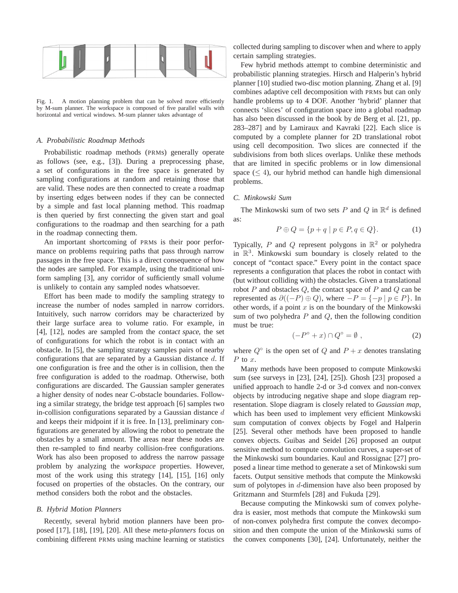

Fig. 1. A motion planning problem that can be solved more efficiently by M-sum planner. The workspace is composed of five parallel walls with horizontal and vertical windows. M-sum planner takes advantage of

## *A. Probabilistic Roadmap Methods*

Probabilistic roadmap methods (PRMs) generally operate as follows (see, e.g., [3]). During a preprocessing phase, a set of configurations in the free space is generated by sampling configurations at random and retaining those that are valid. These nodes are then connected to create a roadmap by inserting edges between nodes if they can be connected by a simple and fast local planning method. This roadmap is then queried by first connecting the given start and goal configurations to the roadmap and then searching for a path in the roadmap connecting them.

An important shortcoming of PRMs is their poor performance on problems requiring paths that pass through narrow passages in the free space. This is a direct consequence of how the nodes are sampled. For example, using the traditional uniform sampling [3], any corridor of sufficiently small volume is unlikely to contain any sampled nodes whatsoever.

Effort has been made to modify the sampling strategy to increase the number of nodes sampled in narrow corridors. Intuitively, such narrow corridors may be characterized by their large surface area to volume ratio. For example, in [4], [12], nodes are sampled from the contact space, the set of configurations for which the robot is in contact with an obstacle. In [5], the sampling strategy samples pairs of nearby configurations that are separated by a Gaussian distance  $d$ . If one configuration is free and the other is in collision, then the free configuration is added to the roadmap. Otherwise, both configurations are discarded. The Gaussian sampler generates a higher density of nodes near C-obstacle boundaries. Following a similar strategy, the bridge test approach [6] samples two in-collision configurations separated by a Gaussian distance  $d$ and keeps their midpoint if it is free. In [13], preliminary configurations are generated by allowing the robot to penetrate the obstacles by a small amount. The areas near these nodes are then re-sampled to find nearby collision-free configurations. Work has also been proposed to address the narrow passage problem by analyzing the *workspace* properties. However, most of the work using this strategy [14], [15], [16] only focused on properties of the obstacles. On the contrary, our method considers both the robot and the obstacles.

# *B. Hybrid Motion Planners*

Recently, several hybrid motion planners have been proposed [17], [18], [19], [20]. All these *meta-planners* focus on combining different PRMs using machine learning or statistics collected during sampling to discover when and where to apply certain sampling strategies.

Few hybrid methods attempt to combine deterministic and probabilistic planning strategies. Hirsch and Halperin's hybrid planner [10] studied two-disc motion planning. Zhang et al. [9] combines adaptive cell decomposition with PRMs but can only handle problems up to 4 DOF. Another 'hybrid' planner that connects 'slices' of configuration space into a global roadmap has also been discussed in the book by de Berg et al. [21, pp. 283–287] and by Lamiraux and Kavraki [22]. Each slice is computed by a complete planner for 2D translational robot using cell decomposition. Two slices are connected if the subdivisions from both slices overlaps. Unlike these methods that are limited in specific problems or in low dimensional space  $(\leq 4)$ , our hybrid method can handle high dimensional problems.

#### *C. Minkowski Sum*

The Minkowski sum of two sets P and Q in  $\mathbb{R}^d$  is defined as:

$$
P \oplus Q = \{ p + q \mid p \in P, q \in Q \}. \tag{1}
$$

Typically, P and Q represent polygons in  $\mathbb{R}^2$  or polyhedra in  $\mathbb{R}^3$ . Minkowski sum boundary is closely related to the concept of "contact space." Every point in the contact space represents a configuration that places the robot in contact with (but without colliding with) the obstacles. Given a translational robot  $P$  and obstacles  $Q$ , the contact space of  $P$  and  $Q$  can be represented as  $\partial((-P) \oplus Q)$ , where  $-P = \{-p \mid p \in P\}$ . In other words, if a point  $x$  is on the boundary of the Minkowski sum of two polyhedra  $P$  and  $Q$ , then the following condition must be true:

$$
(-P^{\circ} + x) \cap Q^{\circ} = \emptyset , \qquad (2)
$$

where  $Q^{\circ}$  is the open set of Q and  $P + x$  denotes translating  $P$  to  $x$ .

Many methods have been proposed to compute Minkowski sum (see surveys in [23], [24], [25]). Ghosh [23] proposed a unified approach to handle 2-d or 3-d convex and non-convex objects by introducing negative shape and slope diagram representation. Slope diagram is closely related to *Gaussian map*, which has been used to implement very efficient Minkowski sum computation of convex objects by Fogel and Halperin [25]. Several other methods have been proposed to handle convex objects. Guibas and Seidel [26] proposed an output sensitive method to compute convolution curves, a super-set of the Minkowski sum boundaries. Kaul and Rossignac [27] proposed a linear time method to generate a set of Minkowski sum facets. Output sensitive methods that compute the Minkowski sum of polytopes in d-dimension have also been proposed by Gritzmann and Sturmfels [28] and Fukuda [29].

Because computing the Minkowski sum of convex polyhedra is easier, most methods that compute the Minkowski sum of non-convex polyhedra first compute the convex decomposition and then compute the union of the Minkowski sums of the convex components [30], [24]. Unfortunately, neither the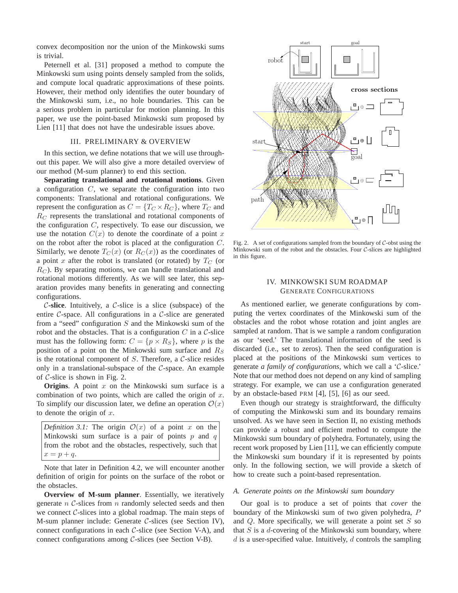convex decomposition nor the union of the Minkowski sums is trivial.

Peternell et al. [31] proposed a method to compute the Minkowski sum using points densely sampled from the solids, and compute local quadratic approximations of these points. However, their method only identifies the outer boundary of the Minkowski sum, i.e., no hole boundaries. This can be a serious problem in particular for motion planning. In this paper, we use the point-based Minkowski sum proposed by Lien [11] that does not have the undesirable issues above.

#### III. PRELIMINARY & OVERVIEW

In this section, we define notations that we will use throughout this paper. We will also give a more detailed overview of our method (M-sum planner) to end this section.

**Separating translational and rotational motions**. Given a configuration  $C$ , we separate the configuration into two components: Translational and rotational configurations. We represent the configuration as  $C = \{T_C \times R_C\}$ , where  $T_C$  and  $R_C$  represents the translational and rotational components of the configuration  $C$ , respectively. To ease our discussion, we use the notation  $C(x)$  to denote the coordinate of a point x on the robot after the robot is placed at the configuration C. Similarly, we denote  $T_C(x)$  (or  $R_C(x)$ ) as the coordinates of a point x after the robot is translated (or rotated) by  $T_C$  (or  $R_C$ ). By separating motions, we can handle translational and rotational motions differently. As we will see later, this separation provides many benefits in generating and connecting configurations.

C**-slice**. Intuitively, a C-slice is a slice (subspace) of the entire C-space. All configurations in a C-slice are generated from a "seed" configuration S and the Minkowski sum of the robot and the obstacles. That is a configuration  $C$  in a  $C$ -slice must has the following form:  $C = \{p \times R_S\}$ , where p is the position of a point on the Minkowski sum surface and  $R<sub>S</sub>$ is the rotational component of  $S$ . Therefore, a  $C$ -slice resides only in a translational-subspace of the  $C$ -space. An example of  $C$ -slice is shown in Fig. 2.

**Origins**. A point  $x$  on the Minkowski sum surface is a combination of two points, which are called the origin of  $x$ . To simplify our discussion later, we define an operation  $\mathcal{O}(x)$ to denote the origin of  $x$ .

*Definition 3.1:* The origin  $\mathcal{O}(x)$  of a point x on the Minkowski sum surface is a pair of points  $p$  and  $q$ from the robot and the obstacles, respectively, such that  $x = p + q$ .

Note that later in Definition 4.2, we will encounter another definition of origin for points on the surface of the robot or the obstacles.

**Overview of M-sum planner**. Essentially, we iteratively generate  $n \mathcal{C}$ -slices from  $n$  randomly selected seeds and then we connect  $C$ -slices into a global roadmap. The main steps of M-sum planner include: Generate C-slices (see Section IV), connect configurations in each  $C$ -slice (see Section V-A), and connect configurations among C-slices (see Section V-B).



Fig. 2. A set of configurations sampled from the boundary of  $C$ -obst using the Minkowski sum of the robot and the obstacles. Four C-slices are highlighted in this figure.

# IV. MINKOWSKI SUM ROADMAP GENERATE CONFIGURATIONS

As mentioned earlier, we generate configurations by computing the vertex coordinates of the Minkowski sum of the obstacles and the robot whose rotation and joint angles are sampled at random. That is we sample a random configuration as our 'seed.' The translational information of the seed is discarded (i.e., set to zeros). Then the seed configuration is placed at the positions of the Minkowski sum vertices to generate *a family of configurations*, which we call a 'C-slice.' Note that our method does not depend on any kind of sampling strategy. For example, we can use a configuration generated by an obstacle-based PRM [4], [5], [6] as our seed.

Even though our strategy is straightforward, the difficulty of computing the Minkowski sum and its boundary remains unsolved. As we have seen in Section II, no existing methods can provide a robust and efficient method to compute the Minkowski sum boundary of polyhedra. Fortunately, using the recent work proposed by Lien [11], we can efficiently compute the Minkowski sum boundary if it is represented by points only. In the following section, we will provide a sketch of how to create such a point-based representation.

#### *A. Generate points on the Minkowski sum boundary*

Our goal is to produce a set of points that *cover* the boundary of the Minkowski sum of two given polyhedra, P and  $Q$ . More specifically, we will generate a point set  $S$  so that  $S$  is a  $d$ -covering of the Minkowski sum boundary, where  $d$  is a user-specified value. Intuitively,  $d$  controls the sampling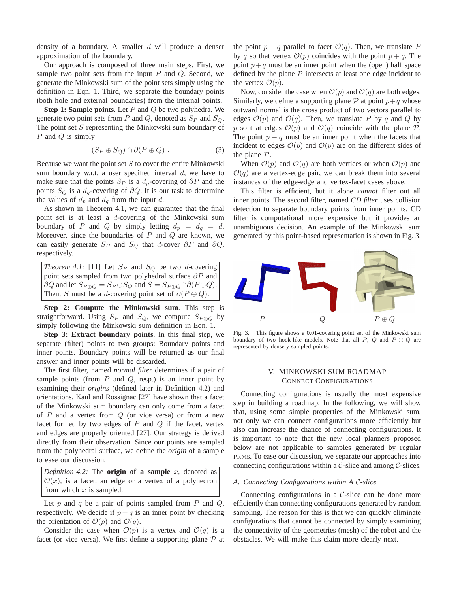density of a boundary. A smaller  $d$  will produce a denser approximation of the boundary.

Our approach is composed of three main steps. First, we sample two point sets from the input  $P$  and  $Q$ . Second, we generate the Minkowski sum of the point sets simply using the definition in Eqn. 1. Third, we separate the boundary points (both hole and external boundaries) from the internal points.

**Step 1: Sample points**. Let P and Q be two polyhedra. We generate two point sets from P and Q, denoted as  $S_P$  and  $S_Q$ . The point set S representing the Minkowski sum boundary of P and Q is simply

$$
(S_P \oplus S_Q) \cap \partial (P \oplus Q) . \tag{3}
$$

Because we want the point set  $S$  to cover the entire Minkowski sum boundary w.r.t. a user specified interval  $d$ , we have to make sure that the points  $S_P$  is a  $d_p$ -covering of  $\partial P$  and the points  $S_Q$  is a  $d_q$ -covering of  $\partial Q$ . It is our task to determine the values of  $d_p$  and  $d_q$  from the input d.

As shown in Theorem 4.1, we can guarantee that the final point set is at least a d-covering of the Minkowski sum boundary of P and Q by simply letting  $d_p = d_q = d$ . Moreover, since the boundaries of  $P$  and  $Q$  are known, we can easily generate  $S_P$  and  $S_Q$  that d-cover  $\partial P$  and  $\partial Q$ , respectively.

*Theorem 4.1:* [11] Let  $S_P$  and  $S_Q$  be two *d*-covering point sets sampled from two polyhedral surface  $\partial P$  and  $\partial Q$  and let  $S_{P \oplus Q} = S_P \oplus S_Q$  and  $S = S_{P \oplus Q} \cap \partial (P \oplus Q)$ . Then, S must be a d-covering point set of  $\partial(P \oplus Q)$ .

**Step 2: Compute the Minkowski sum**. This step is straightforward. Using  $S_P$  and  $S_Q$ , we compute  $S_{P \oplus Q}$  by simply following the Minkowski sum definition in Eqn. 1.

**Step 3: Extract boundary points**. In this final step, we separate (filter) points to two groups: Boundary points and inner points. Boundary points will be returned as our final answer and inner points will be discarded.

The first filter, named *normal filter* determines if a pair of sample points (from  $P$  and  $Q$ , resp.) is an inner point by examining their *origins* (defined later in Definition 4.2) and orientations. Kaul and Rossignac [27] have shown that a facet of the Minkowski sum boundary can only come from a facet of  $P$  and a vertex from  $Q$  (or vice versa) or from a new facet formed by two edges of  $P$  and  $Q$  if the facet, vertex and edges are properly oriented [27]. Our strategy is derived directly from their observation. Since our points are sampled from the polyhedral surface, we define the *origin* of a sample to ease our discussion.

*Definition 4.2:* The **origin of a sample**  $x$ , denoted as  $\mathcal{O}(x)$ , is a facet, an edge or a vertex of a polyhedron from which  $x$  is sampled.

Let p and q be a pair of points sampled from P and  $Q$ , respectively. We decide if  $p + q$  is an inner point by checking the orientation of  $\mathcal{O}(p)$  and  $\mathcal{O}(q)$ .

Consider the case when  $\mathcal{O}(p)$  is a vertex and  $\mathcal{O}(q)$  is a facet (or vice versa). We first define a supporting plane  $P$  at the point  $p + q$  parallel to facet  $\mathcal{O}(q)$ . Then, we translate P by q so that vertex  $\mathcal{O}(p)$  coincides with the point  $p + q$ . The point  $p+q$  must be an inner point when the (open) half space defined by the plane  $P$  intersects at least one edge incident to the vertex  $\mathcal{O}(p)$ .

Now, consider the case when  $\mathcal{O}(p)$  and  $\mathcal{O}(q)$  are both edges. Similarly, we define a supporting plane  $P$  at point  $p+q$  whose outward normal is the cross product of two vectors parallel to edges  $\mathcal{O}(p)$  and  $\mathcal{O}(q)$ . Then, we translate P by q and Q by p so that edges  $\mathcal{O}(p)$  and  $\mathcal{O}(q)$  coincide with the plane P. The point  $p + q$  must be an inner point when the facets that incident to edges  $\mathcal{O}(p)$  and  $\mathcal{O}(p)$  are on the different sides of the plane P.

When  $\mathcal{O}(p)$  and  $\mathcal{O}(q)$  are both vertices or when  $\mathcal{O}(p)$  and  $O(q)$  are a vertex-edge pair, we can break them into several instances of the edge-edge and vertex-facet cases above.

This filter is efficient, but it alone *cannot* filter out all inner points. The second filter, named *CD filter* uses collision detection to separate boundary points from inner points. CD filter is computational more expensive but it provides an unambiguous decision. An example of the Minkowski sum generated by this point-based representation is shown in Fig. 3.



Fig. 3. This figure shows a 0.01-covering point set of the Minkowski sum boundary of two hook-like models. Note that all  $P$ ,  $Q$  and  $P \oplus Q$  are represented by densely sampled points.

# V. MINKOWSKI SUM ROADMAP CONNECT CONFIGURATIONS

Connecting configurations is usually the most expensive step in building a roadmap. In the following, we will show that, using some simple properties of the Minkowski sum, not only we can connect configurations more efficiently but also can increase the chance of connecting configurations. It is important to note that the new local planners proposed below are not applicable to samples generated by regular PRMs. To ease our discussion, we separate our approaches into connecting configurations within a  $C$ -slice and among  $C$ -slices.

# *A. Connecting Configurations within A* C*-slice*

Connecting configurations in a  $C$ -slice can be done more efficiently than connecting configurations generated by random sampling. The reason for this is that we can quickly eliminate configurations that cannot be connected by simply examining the connectivity of the geometries (mesh) of the robot and the obstacles. We will make this claim more clearly next.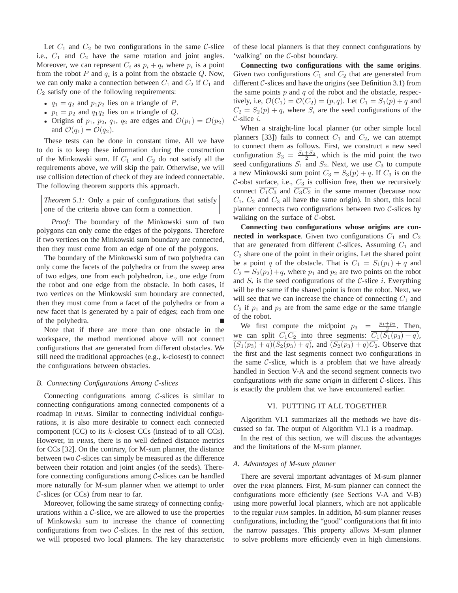Let  $C_1$  and  $C_2$  be two configurations in the same C-slice i.e.,  $C_1$  and  $C_2$  have the same rotation and joint angles. Moreover, we can represent  $C_i$  as  $p_i + q_i$  where  $p_i$  is a point from the robot  $P$  and  $q_i$  is a point from the obstacle  $Q$ . Now, we can only make a connection between  $C_1$  and  $C_2$  if  $C_1$  and  $C_2$  satisfy one of the following requirements:

- $q_1 = q_2$  and  $\overline{p_1p_2}$  lies on a triangle of P.
- $p_1 = p_2$  and  $\overline{q_1 q_2}$  lies on a triangle of Q.
- Origins of  $p_1$ ,  $p_2$ ,  $q_1$ ,  $q_2$  are edges and  $\mathcal{O}(p_1) = \mathcal{O}(p_2)$ and  $\mathcal{O}(q_1) = \mathcal{O}(q_2)$ .

These tests can be done in constant time. All we have to do is to keep these information during the construction of the Minkowski sum. If  $C_1$  and  $C_2$  do not satisfy all the requirements above, we will skip the pair. Otherwise, we will use collision detection of check of they are indeed connectable. The following theorem supports this approach.

*Theorem 5.1:* Only a pair of configurations that satisfy one of the criteria above can form a connection.

*Proof:* The boundary of the Minkowski sum of two polygons can only come the edges of the polygons. Therefore if two vertices on the Minkowski sum boundary are connected, then they must come from an edge of one of the polygons.

The boundary of the Minkowski sum of two polyhedra can only come the facets of the polyhedra or from the sweep area of two edges, one from each polyhedron, i.e., one edge from the robot and one edge from the obstacle. In both cases, if two vertices on the Minkowski sum boundary are connected, then they must come from a facet of the polyhedra or from a new facet that is generated by a pair of edges; each from one of the polyhedra.

Note that if there are more than one obstacle in the workspace, the method mentioned above will not connect configurations that are generated from different obstacles. We still need the traditional approaches (e.g., k-closest) to connect the configurations between obstacles.

## *B. Connecting Configurations Among* C*-slices*

Connecting configurations among  $C$ -slices is similar to connecting configurations among connected components of a roadmap in PRMs. Similar to connecting individual configurations, it is also more desirable to connect each connected component (CC) to its  $k$ -closest CCs (instead of to all CCs). However, in PRMs, there is no well defined distance metrics for CCs [32]. On the contrary, for M-sum planner, the distance between two C-slices can simply be measured as the difference between their rotation and joint angles (of the seeds). Therefore connecting configurations among  $C$ -slices can be handled more naturally for M-sum planner when we attempt to order C-slices (or CCs) from near to far.

Moreover, following the same strategy of connecting configurations within a  $C$ -slice, we are allowed to use the properties of Minkowski sum to increase the chance of connecting configurations from two  $C$ -slices. In the rest of this section, we will proposed two local planners. The key characteristic of these local planners is that they connect configurations by 'walking' on the C-obst boundary.

**Connecting two configurations with the same origins**. Given two configurations  $C_1$  and  $C_2$  that are generated from different  $C$ -slices and have the origins (see Definition 3.1) from the same points  $p$  and  $q$  of the robot and the obstacle, respectively, i.e,  $\mathcal{O}(C_1) = \mathcal{O}(C_2) = (p, q)$ . Let  $C_1 = S_1(p) + q$  and  $C_2 = S_2(p) + q$ , where  $S_i$  are the seed configurations of the  $C$ -slice  $i$ .

When a straight-line local planner (or other simple local planners [33]) fails to connect  $C_1$  and  $C_2$ , we can attempt to connect them as follows. First, we construct a new seed configuration  $S_3 = \frac{S_1 + S_2}{2}$ , which is the mid point the two seed configurations  $S_1$  and  $S_2$ . Next, we use  $C_3$  to compute a new Minkowski sum point  $C_3 = S_3(p) + q$ . If  $C_3$  is on the C-obst surface, i.e.,  $C_3$  is collision free, then we recursively connect  $\overline{C_1C_3}$  and  $\overline{C_3C_2}$  in the same manner (because now  $C_1$ ,  $C_2$  and  $C_3$  all have the same origin). In short, this local planner connects two configurations between two  $C$ -slices by walking on the surface of  $C$ -obst.

**Connecting two configurations whose origins are connected in workspace**. Given two configurations  $C_1$  and  $C_2$ that are generated from different  $C$ -slices. Assuming  $C_1$  and  $C_2$  share one of the point in their origins. Let the shared point be a point q of the obstacle. That is  $C_1 = S_1(p_1) + q$  and  $C_2 = S_2(p_2) + q$ , where  $p_1$  and  $p_2$  are two points on the robot and  $S_i$  is the seed configurations of the C-slice i. Everything will be the same if the shared point is from the robot. Next, we will see that we can increase the chance of connecting  $C_1$  and  $C_2$  if  $p_1$  and  $p_2$  are from the same edge or the same triangle of the robot.

We first compute the midpoint  $p_3 = \frac{p_1 + p_2}{2}$ . Then, we can split  $\overline{C_1C_2}$  into three segments:  $\overline{C_1(S_1(p_3)+q)}$ ,  $(S_1(p_3) + q)(S_2(p_3) + q)$ , and  $(S_2(p_3) + q)C_2$ . Observe that the first and the last segments connect two configurations in the same  $C$ -slice, which is a problem that we have already handled in Section V-A and the second segment connects two configurations *with the same origin* in different C-slices. This is exactly the problem that we have encountered earlier.

# VI. PUTTING IT ALL TOGETHER

Algorithm VI.1 summarizes all the methods we have discussed so far. The output of Algorithm VI.1 is a roadmap.

In the rest of this section, we will discuss the advantages and the limitations of the M-sum planner.

#### *A. Advantages of M-sum planner*

There are several important advantages of M-sum planner over the PRM planners. First, M-sum planner can connect the configurations more efficiently (see Sections V-A and V-B) using more powerful local planners, which are not applicable to the regular PRM samples. In addition, M-sum planner reuses configurations, including the "good" configurations that fit into the narrow passages. This property allows M-sum planner to solve problems more efficiently even in high dimensions.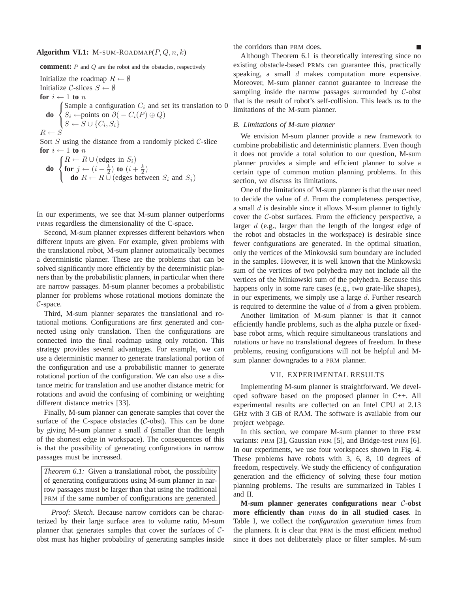#### **Algorithm VI.1:** M-SUM-ROADMAP $(P, Q, n, k)$

**comment:** P and Q are the robot and the obstacles, respectively

Initialize the roadmap  $R \leftarrow \emptyset$ Initialize C-slices  $S \leftarrow \emptyset$ **for**  $i \leftarrow 1$  **to** n **do**  $\Big\{ S_i \leftarrow \text{points on } \partial \left( -C_i(P) \oplus Q \right)$ Sample a configuration  $C_i$  and set its translation to 0  $S \leftarrow S \cup \{C_i, S_i\}$  $R \leftarrow S$ Sort  $S$  using the distance from a randomly picked  $C$ -slice

**for**  $i \leftarrow 1$  **to** n

**do** 
$$
\begin{cases} R \leftarrow R \cup (\text{edges in } S_i) \\ \text{for } j \leftarrow (i - \frac{k}{2}) \text{ to } (i + \frac{k}{2}) \\ \text{do } R \leftarrow R \cup (\text{edges between } S_i \text{ and } S_j) \end{cases}
$$

In our experiments, we see that M-sum planner outperforms PRMs regardless the dimensionality of the C-space.

Second, M-sum planner expresses different behaviors when different inputs are given. For example, given problems with the translational robot, M-sum planner automatically becomes a deterministic planner. These are the problems that can be solved significantly more efficiently by the deterministic planners than by the probabilistic planners, in particular when there are narrow passages. M-sum planner becomes a probabilistic planner for problems whose rotational motions dominate the C-space.

Third, M-sum planner separates the translational and rotational motions. Configurations are first generated and connected using only translation. Then the configurations are connected into the final roadmap using only rotation. This strategy provides several advantages. For example, we can use a deterministic manner to generate translational portion of the configuration and use a probabilistic manner to generate rotational portion of the configuration. We can also use a distance metric for translation and use another distance metric for rotations and avoid the confusing of combining or weighting different distance metrics [33].

Finally, M-sum planner can generate samples that cover the surface of the C-space obstacles  $(C$ -obst). This can be done by giving M-sum planner a small  $d$  (smaller than the length of the shortest edge in workspace). The consequences of this is that the possibility of generating configurations in narrow passages must be increased.

*Theorem 6.1:* Given a translational robot, the possibility of generating configurations using M-sum planner in narrow passages must be larger than that using the traditional PRM if the same number of configurations are generated.

*Proof: Sketch*. Because narrow corridors can be characterized by their large surface area to volume ratio, M-sum planner that generates samples that cover the surfaces of Cobst must has higher probability of generating samples inside the corridors than PRM does.

Although Theorem 6.1 is theoretically interesting since no existing obstacle-based PRMs can guarantee this, practically speaking, a small  $d$  makes computation more expensive. Moreover, M-sum planner cannot guarantee to increase the sampling inside the narrow passages surrounded by C-obst that is the result of robot's self-collision. This leads us to the limitations of the M-sum planner.

# *B. Limitations of M-sum planner*

We envision M-sum planner provide a new framework to combine probabilistic and deterministic planners. Even though it does not provide a total solution to our question, M-sum planner provides a simple and efficient planner to solve a certain type of common motion planning problems. In this section, we discuss its limitations.

One of the limitations of M-sum planner is that the user need to decide the value of d. From the completeness perspective, a small  $d$  is desirable since it allows M-sum planner to tightly cover the C-obst surfaces. From the efficiency perspective, a larger  $d$  (e.g., larger than the length of the longest edge of the robot and obstacles in the workspace) is desirable since fewer configurations are generated. In the optimal situation, only the vertices of the Minkowski sum boundary are included in the samples. However, it is well known that the Minkowski sum of the vertices of two polyhedra may not include all the vertices of the Minkowski sum of the polyhedra. Because this happens only in some rare cases (e.g., two grate-like shapes), in our experiments, we simply use a large d. Further research is required to determine the value of  $d$  from a given problem.

Another limitation of M-sum planner is that it cannot efficiently handle problems, such as the alpha puzzle or fixedbase robot arms, which require simultaneous translations and rotations or have no translational degrees of freedom. In these problems, reusing configurations will not be helpful and Msum planner downgrades to a PRM planner.

#### VII. EXPERIMENTAL RESULTS

Implementing M-sum planner is straightforward. We developed software based on the proposed planner in C++. All experimental results are collected on an Intel CPU at 2.13 GHz with 3 GB of RAM. The software is available from our project webpage.

In this section, we compare M-sum planner to three PRM variants: PRM [3], Gaussian PRM [5], and Bridge-test PRM [6]. In our experiments, we use four workspaces shown in Fig. 4. These problems have robots with 3, 6, 8, 10 degrees of freedom, respectively. We study the efficiency of configuration generation and the efficiency of solving these four motion planning problems. The results are summarized in Tables I and II.

**M-sum planner generates configurations near** C**-obst more efficiently than** PRM**s do in all studied cases**. In Table I, we collect the *configuration generation times* from the planners. It is clear that PRM is the most efficient method since it does not deliberately place or filter samples. M-sum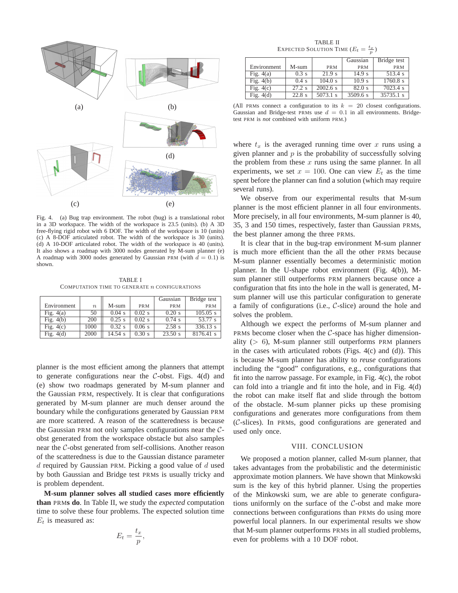

Fig. 4. (a) Bug trap environment. The robot (bug) is a translational robot in a 3D workspace. The width of the workspace is 23.5 (units). (b) A 3D free-flying rigid robot with 6 DOF. The width of the workspace is 10 (units) (c) A 8-DOF articulated robot. The width of the workspace is 30 (units). (d) A 10-DOF articulated robot. The width of the workspace is 40 (units). It also shows a roadmap with 3000 nodes generated by M-sum planner (e) A roadmap with 3000 nodes generated by Gaussian PRM (with  $d = 0.1$ ) is shown.

TABLE I COMPUTATION TIME TO GENERATE  $n$  CONFIGURATIONS

|             |                  |                   |            | Gaussian   | Bridge test |
|-------------|------------------|-------------------|------------|------------|-------------|
| Environment | $\boldsymbol{n}$ | M-sum             | <b>PRM</b> | <b>PRM</b> | PRM         |
| Fig. $4(a)$ | 50               | $0.04$ s          | $0.02$ s   | $0.20$ s   | $105.05$ s  |
| Fig. $4(b)$ | 200              | $0.25$ s          | $0.02$ s   | $0.74$ s   | 53.77 s     |
| Fig. $4(c)$ | 1000             | 0.32 s            | $0.06$ s   | 2.58 s     | 336.13 s    |
| Fig. $4(d)$ | 2000             | $14.54 \text{ s}$ | 0.30 s     | 23.50 s    | 8176.41 s   |

planner is the most efficient among the planners that attempt to generate configurations near the  $C$ -obst. Figs. 4(d) and (e) show two roadmaps generated by M-sum planner and the Gaussian PRM, respectively. It is clear that configurations generated by M-sum planner are much denser around the boundary while the configurations generated by Gaussian PRM are more scattered. A reason of the scatteredness is because the Gaussian PRM not only samples configurations near the  $C$ obst generated from the workspace obstacle but also samples near the C-obst generated from self-collisions. Another reason of the scatteredness is due to the Gaussian distance parameter  $d$  required by Gaussian PRM. Picking a good value of  $d$  used by both Gaussian and Bridge test PRMs is usually tricky and is problem dependent.

**M-sum planner solves all studied cases more efficiently than** PRM**s do**. In Table II, we study the *expected* computation time to solve these four problems. The expected solution time  $E_t$  is measured as:

$$
E_t = \frac{t_x}{p},
$$

TABLE II EXPECTED SOLUTION TIME  $(E_t = \frac{t_x}{p})$ 

|             |         |            | Gaussian   | Bridge test |
|-------------|---------|------------|------------|-------------|
| Environment | M-sum   | <b>PRM</b> | <b>PRM</b> | PRM         |
| Fig. $4(a)$ | $0.3$ s | 21.9 s     | 14.9 s     | 513.4 s     |
| Fig. $4(b)$ | $0.4$ s | 104.0 s    | 10.9 s     | $1760.8$ s  |
| Fig. $4(c)$ | 27.2 s  | 2002.6 s   | 82.0 s     | 7023.4 s    |
| Fig. $4(d)$ | 22.8 s  | 5073.1 s   | 3509.6 s   | 35735.1 s   |

(All PRMs connect a configuration to its  $k = 20$  closest configurations. Gaussian and Bridge-test PRMs use  $d = 0.1$  in all environments. Bridgetest PRM is *not* combined with uniform PRM.)

where  $t_x$  is the averaged running time over x runs using a given planner and  $p$  is the probability of successfully solving the problem from these  $x$  runs using the same planner. In all experiments, we set  $x = 100$ . One can view  $E_t$  as the time spent before the planner can find a solution (which may require several runs).

We observe from our experimental results that M-sum planner is the most efficient planner in all four environments. More precisely, in all four environments, M-sum planner is 40, 35, 3 and 150 times, respectively, faster than Gaussian PRMs, the best planner among the three PRMs.

It is clear that in the bug-trap environment M-sum planner is much more efficient than the all the other PRMs because M-sum planner essentially becomes a deterministic motion planner. In the U-shape robot environment (Fig. 4(b)), Msum planner still outperforms PRM planners because once a configuration that fits into the hole in the wall is generated, Msum planner will use this particular configuration to generate a family of configurations (i.e., C-slice) around the hole and solves the problem.

Although we expect the performs of M-sum planner and PRMs become closer when the C-space has higher dimensionality  $(> 6)$ , M-sum planner still outperforms PRM planners in the cases with articulated robots (Figs. 4(c) and (d)). This is because M-sum planner has ability to *reuse* configurations including the "good" configurations, e.g., configurations that fit into the narrow passage. For example, in Fig. 4(c), the robot can fold into a triangle and fit into the hole, and in Fig. 4(d) the robot can make itself flat and slide through the bottom of the obstacle. M-sum planner picks up these promising configurations and generates more configurations from them (C-slices). In PRMs, good configurations are generated and used only once.

## VIII. CONCLUSION

We proposed a motion planner, called M-sum planner, that takes advantages from the probabilistic and the deterministic approximate motion planners. We have shown that Minkowski sum is the key of this hybrid planner. Using the properties of the Minkowski sum, we are able to generate configurations uniformly on the surface of the C-obst and make more connections between configurations than PRMs do using more powerful local planners. In our experimental results we show that M-sum planner outperforms PRMs in all studied problems, even for problems with a 10 DOF robot.